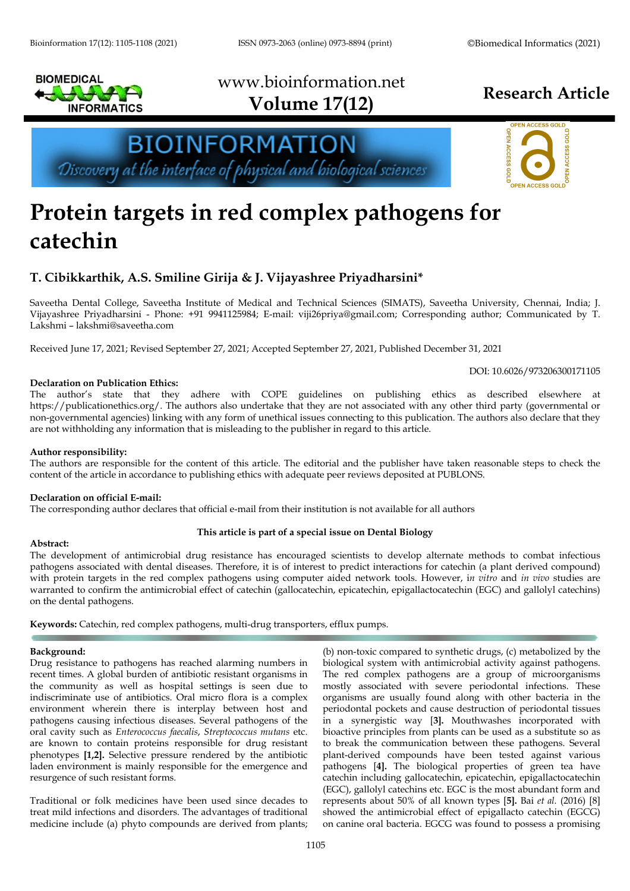

# www.bioinformation.net **Volume 17(12) Research Article**

**BIOINFORMATION** Discovery at the interface of physical and biological sciences



DOI: 10.6026/973206300171105

# **Protein targets in red complex pathogens for catechin**

## **T. Cibikkarthik, A.S. Smiline Girija & J. Vijayashree Priyadharsini\***

Saveetha Dental College, Saveetha Institute of Medical and Technical Sciences (SIMATS), Saveetha University, Chennai, India; J. Vijayashree Priyadharsini - Phone: +91 9941125984; E-mail: viji26priya@gmail.com; Corresponding author; Communicated by T. Lakshmi – lakshmi@saveetha.com

Received June 17, 2021; Revised September 27, 2021; Accepted September 27, 2021, Published December 31, 2021

#### **Declaration on Publication Ethics:**

The author's state that they adhere with COPE guidelines on publishing ethics as described elsewhere at https://publicationethics.org/. The authors also undertake that they are not associated with any other third party (governmental or non-governmental agencies) linking with any form of unethical issues connecting to this publication. The authors also declare that they are not withholding any information that is misleading to the publisher in regard to this article.

#### **Author responsibility:**

The authors are responsible for the content of this article. The editorial and the publisher have taken reasonable steps to check the content of the article in accordance to publishing ethics with adequate peer reviews deposited at PUBLONS.

#### **Declaration on official E-mail:**

The corresponding author declares that official e-mail from their institution is not available for all authors

#### **Abstract:**

#### **This article is part of a special issue on Dental Biology**

The development of antimicrobial drug resistance has encouraged scientists to develop alternate methods to combat infectious pathogens associated with dental diseases. Therefore, it is of interest to predict interactions for catechin (a plant derived compound) with protein targets in the red complex pathogens using computer aided network tools. However, i*n vitro* and *in vivo* studies are warranted to confirm the antimicrobial effect of catechin (gallocatechin, epicatechin, epigallactocatechin (EGC) and gallolyl catechins) on the dental pathogens.

**Keywords:** Catechin, red complex pathogens, multi-drug transporters, efflux pumps.

#### **Background:**

Drug resistance to pathogens has reached alarming numbers in recent times. A global burden of antibiotic resistant organisms in the community as well as hospital settings is seen due to indiscriminate use of antibiotics. Oral micro flora is a complex environment wherein there is interplay between host and pathogens causing infectious diseases. Several pathogens of the oral cavity such as *Enterococcus faecalis*, *Streptococcus mutans* etc. are known to contain proteins responsible for drug resistant phenotypes **[1,2].** Selective pressure rendered by the antibiotic laden environment is mainly responsible for the emergence and resurgence of such resistant forms.

Traditional or folk medicines have been used since decades to treat mild infections and disorders. The advantages of traditional medicine include (a) phyto compounds are derived from plants;

(b) non-toxic compared to synthetic drugs, (c) metabolized by the biological system with antimicrobial activity against pathogens. The red complex pathogens are a group of microorganisms mostly associated with severe periodontal infections. These organisms are usually found along with other bacteria in the periodontal pockets and cause destruction of periodontal tissues in a synergistic way [**3].** Mouthwashes incorporated with bioactive principles from plants can be used as a substitute so as to break the communication between these pathogens. Several plant-derived compounds have been tested against various pathogens [**4].** The biological properties of green tea have catechin including gallocatechin, epicatechin, epigallactocatechin (EGC), gallolyl catechins etc. EGC is the most abundant form and represents about 50% of all known types [**5].** Bai *et al.* (2016) [8] showed the antimicrobial effect of epigallacto catechin (EGCG) on canine oral bacteria. EGCG was found to possess a promising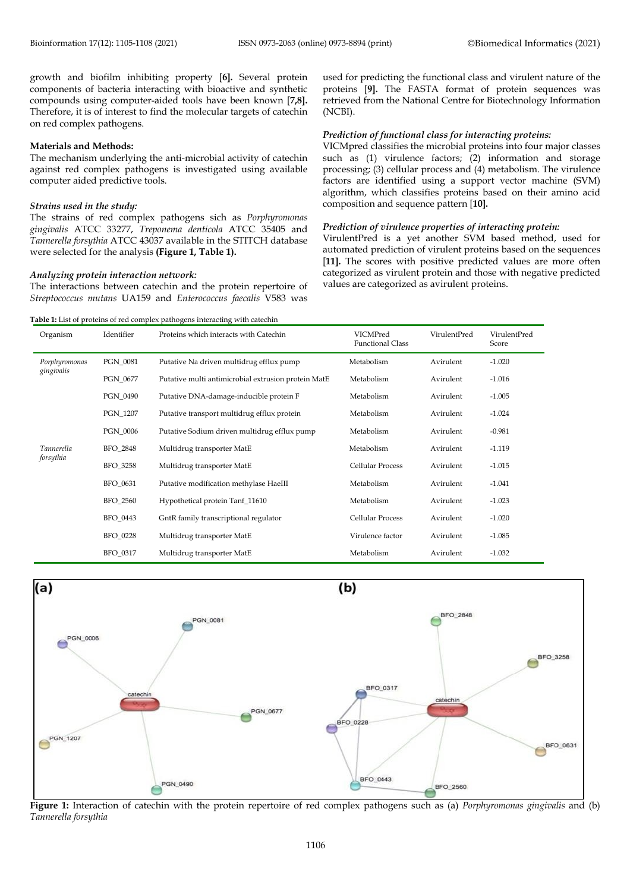growth and biofilm inhibiting property [**6].** Several protein components of bacteria interacting with bioactive and synthetic compounds using computer-aided tools have been known [**7,8].** Therefore, it is of interest to find the molecular targets of catechin on red complex pathogens.

#### **Materials and Methods:**

The mechanism underlying the anti-microbial activity of catechin against red complex pathogens is investigated using available computer aided predictive tools*.*

#### *Strains used in the study:*

The strains of red complex pathogens sich as *Porphyromonas gingivalis* ATCC 33277, *Treponema denticola* ATCC 35405 and *Tannerella forsythia* ATCC 43037 available in the STITCH database were selected for the analysis **(Figure 1, Table 1).**

#### *Analyzing protein interaction network:*

The interactions between catechin and the protein repertoire of *Streptococcus mutans* UA159 and *Enterococcus faecalis* V583 was

**Table 1:** List of proteins of red complex pathogens interacting with catechin

used for predicting the functional class and virulent nature of the proteins [**9].** The FASTA format of protein sequences was retrieved from the National Centre for Biotechnology Information (NCBI).

#### *Prediction of functional class for interacting proteins:*

VICMpred classifies the microbial proteins into four major classes such as (1) virulence factors; (2) information and storage processing; (3) cellular process and (4) metabolism. The virulence factors are identified using a support vector machine (SVM) algorithm, which classifies proteins based on their amino acid composition and sequence pattern [**10].**

#### *Prediction of virulence properties of interacting protein:*

VirulentPred is a yet another SVM based method, used for automated prediction of virulent proteins based on the sequences [11]. The scores with positive predicted values are more often categorized as virulent protein and those with negative predicted values are categorized as avirulent proteins.

| Organism                       | Identifier      | Proteins which interacts with Catechin              | VICMPred<br><b>Functional Class</b> | VirulentPred | VirulentPred<br>Score |
|--------------------------------|-----------------|-----------------------------------------------------|-------------------------------------|--------------|-----------------------|
| Porphyromonas<br>gingivalis    | PGN 0081        | Putative Na driven multidrug efflux pump            | Metabolism                          | Avirulent    | $-1.020$              |
|                                | PGN 0677        | Putative multi antimicrobial extrusion protein MatE | Metabolism                          | Avirulent    | $-1.016$              |
|                                | PGN_0490        | Putative DNA-damage-inducible protein F             | Metabolism                          | Avirulent    | $-1.005$              |
|                                | PGN 1207        | Putative transport multidrug efflux protein         | Metabolism                          | Avirulent    | $-1.024$              |
|                                | <b>PGN 0006</b> | Putative Sodium driven multidrug efflux pump        | Metabolism                          | Avirulent    | $-0.981$              |
| <b>Tannerella</b><br>forsythia | BFO_2848        | Multidrug transporter MatE                          | Metabolism                          | Avirulent    | $-1.119$              |
|                                | BFO_3258        | Multidrug transporter MatE                          | Cellular Process                    | Avirulent    | $-1.015$              |
|                                | BFO_0631        | Putative modification methylase HaeIII              | Metabolism                          | Avirulent    | $-1.041$              |
|                                | BFO_2560        | Hypothetical protein Tanf_11610                     | Metabolism                          | Avirulent    | $-1.023$              |
|                                | BFO_0443        | GntR family transcriptional regulator               | <b>Cellular Process</b>             | Avirulent    | $-1.020$              |
|                                | BFO_0228        | Multidrug transporter MatE                          | Virulence factor                    | Avirulent    | $-1.085$              |
|                                | BFO_0317        | Multidrug transporter MatE                          | Metabolism                          | Avirulent    | $-1.032$              |



**Figure 1:** Interaction of catechin with the protein repertoire of red complex pathogens such as (a) *Porphyromonas gingivalis* and (b) *Tannerella forsythia*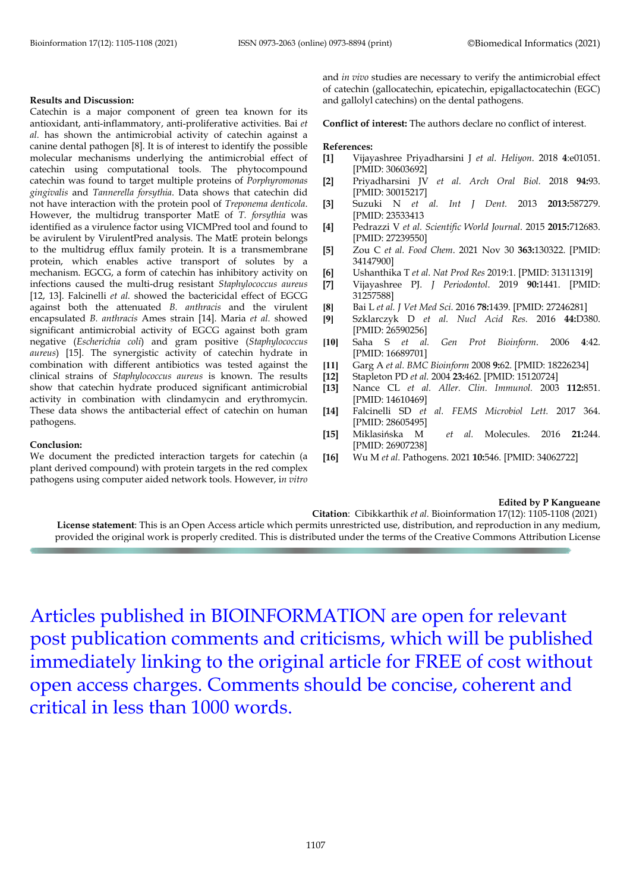#### **Results and Discussion:**

Catechin is a major component of green tea known for its antioxidant, anti-inflammatory, anti-proliferative activities. Bai *et al.* has shown the antimicrobial activity of catechin against a canine dental pathogen [8]. It is of interest to identify the possible molecular mechanisms underlying the antimicrobial effect of catechin using computational tools. The phytocompound catechin was found to target multiple proteins of *Porphyromonas gingivalis* and *Tannerella forsythia*. Data shows that catechin did not have interaction with the protein pool of *Treponema denticola*. However, the multidrug transporter MatE of *T. forsythia* was identified as a virulence factor using VICMPred tool and found to be avirulent by VirulentPred analysis. The MatE protein belongs to the multidrug efflux family protein. It is a transmembrane protein, which enables active transport of solutes by a mechanism. EGCG, a form of catechin has inhibitory activity on infections caused the multi-drug resistant *Staphylococcus aureus* [12, 13]. Falcinelli *et al.* showed the bactericidal effect of EGCG against both the attenuated *B. anthracis* and the virulent encapsulated *B. anthracis* Ames strain [14]. Maria *et al.* showed significant antimicrobial activity of EGCG against both gram negative (*Escherichia coli*) and gram positive (*Staphylococcus aureus*) [15]. The synergistic activity of catechin hydrate in combination with different antibiotics was tested against the clinical strains of *Staphylococcus aureus* is known. The results show that catechin hydrate produced significant antimicrobial activity in combination with clindamycin and erythromycin. These data shows the antibacterial effect of catechin on human pathogens.

#### **Conclusion:**

We document the predicted interaction targets for catechin (a plant derived compound) with protein targets in the red complex pathogens using computer aided network tools. However, i*n vitro* and *in vivo* studies are necessary to verify the antimicrobial effect of catechin (gallocatechin, epicatechin, epigallactocatechin (EGC) and gallolyl catechins) on the dental pathogens.

**Conflict of interest:** The authors declare no conflict of interest.

#### **References:**

- **[1]** Vijayashree Priyadharsini J *et al. Heliyon*. 2018 **4**:e01051. [PMID: 30603692]
- **[2]** Priyadharsini JV *et al. Arch Oral Biol.* 2018 **94:**93. [PMID: 30015217]
- **[3]** Suzuki N *et al. Int J Dent.* 2013 **2013:**587279. [PMID: 23533413
- **[4]** Pedrazzi V *et al. Scientific World Journal*. 2015 **2015:**712683. [PMID: 27239550]
- **[5]** Zou C *et al. Food Chem*. 2021 Nov 30 **363:**130322. [PMID: 34147900]
- **[6]** Ushanthika T *et al. Nat Prod Res* 2019:1. [PMID: 31311319]
- **[7]** Vijayashree PJ. *J Periodontol*. 2019 **90:**1441. [PMID: 31257588]
- **[8]** Bai L *et al. J Vet Med Sci.* 2016 **78:**1439. [PMID: 27246281]
- **[9]** Szklarczyk D *et al. Nucl Acid Res.* 2016 **44:**D380. [PMID: 26590256]<br>Saha S et al.
- **[10]** Saha S *et al. Gen Prot Bioinform*. 2006 **4**:42. [PMID: 16689701]
- **[11]** Garg A *et al. BMC Bioinform* 2008 **9:**62. [PMID: 18226234]
- **[12]** Stapleton PD *et al.* 2004 **23:**462. [PMID: 15120724]
- **[13]** Nance CL *et al. Aller. Clin. Immunol.* 2003 **112:**851. [PMID: 14610469]
- **[14]** Falcinelli SD *et al. FEMS Microbiol Lett.* 2017 364. [PMID: 28605495]
- **[15]** Miklasińska M *et al.* Molecules. 2016 **21:**244. [PMID: 26907238]
- **[16]** Wu M *et al.* Pathogens. 2021 **10:**546. [PMID: 34062722]

### **Edited by P Kangueane**

**Citation**: Cibikkarthik *et al.* Bioinformation 17(12): 1105-1108 (2021) **License statement**: This is an Open Access article which permits unrestricted use, distribution, and reproduction in any medium, provided the original work is properly credited. This is distributed under the terms of the Creative Commons Attribution License

Articles published in BIOINFORMATION are open for relevant post publication comments and criticisms, which will be published immediately linking to the original article for FREE of cost without open access charges. Comments should be concise, coherent and critical in less than 1000 words.